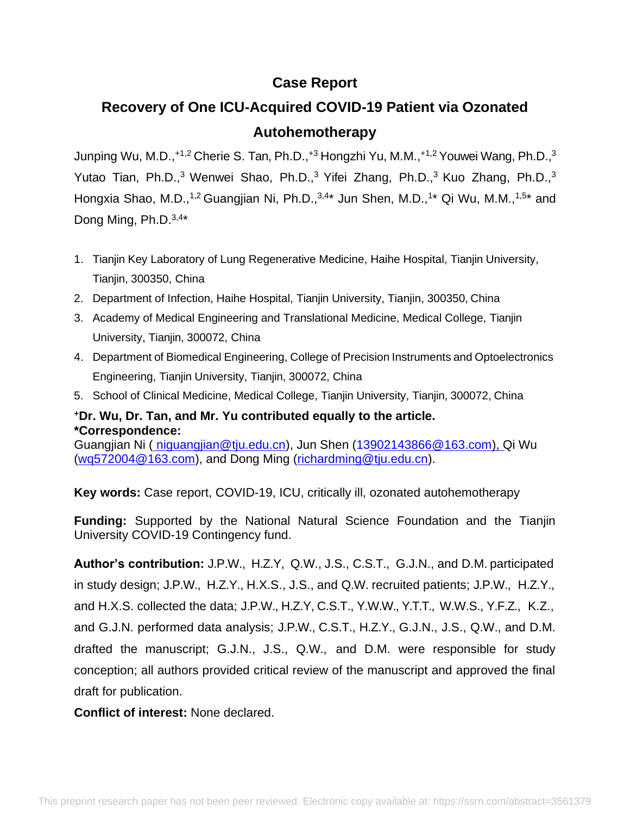# **Case Report**

# **Recovery of One ICU-Acquired COVID-19 Patient via Ozonated Autohemotherapy**

Junping Wu, M.D.,+1,2 Cherie S. Tan, Ph.D.,+3 Hongzhi Yu, M.M.,+1,2 Youwei Wang, Ph.D.,<sup>3</sup> Yutao Tian, Ph.D., $3$  Wenwei Shao, Ph.D., $3$  Yifei Zhang, Ph.D., $3$  Kuo Zhang, Ph.D., $3$ Hongxia Shao, M.D.,<sup>1,2</sup> Guangjian Ni, Ph.D.,<sup>3,4\*</sup> Jun Shen, M.D.,<sup>1\*</sup> Qi Wu, M.M.,<sup>1,5\*</sup> and Dong Ming, Ph.D.<sup>3,4\*</sup>

- 1. Tianjin Key Laboratory of Lung Regenerative Medicine, Haihe Hospital, Tianjin University, Tianjin, 300350, China
- 2. Department of Infection, Haihe Hospital, Tianjin University, Tianjin, 300350, China
- 3. Academy of Medical Engineering and Translational Medicine, Medical College, Tianjin University, Tianjin, 300072, China
- 4. Department of Biomedical Engineering, College of Precision Instruments and Optoelectronics Engineering, Tianjin University, Tianjin, 300072, China
- 5. School of Clinical Medicine, Medical College, Tianjin University, Tianjin, 300072, China

### **<sup>+</sup>Dr. Wu, Dr. Tan, and Mr. Yu contributed equally to the article. \*Correspondence:**

Guangjian Ni ( [niguangjian@tju.edu.cn\)](mailto:niguangjian@tju.edu.cn), Jun Shen [\(13902143866@163.com\)](mailto:13902143866@163.com), Qi Wu [\(wq572004@163.com\)](mailto:wq572004@163.com), and Dong Ming [\(richardming@tju.edu.cn\)](mailto:richardming@tju.edu.cn).

**Key words:** Case report, COVID-19, ICU, critically ill, ozonated autohemotherapy

**Funding:** Supported by the National Natural Science Foundation and the Tianjin University COVID-19 Contingency fund.

**Author's contribution:** J.P.W., H.Z.Y, Q.W., J.S., C.S.T., G.J.N., and D.M. participated in study design; J.P.W., H.Z.Y., H.X.S., J.S., and Q.W. recruited patients; J.P.W., H.Z.Y., and H.X.S. collected the data; J.P.W., H.Z.Y, C.S.T., Y.W.W., Y.T.T., W.W.S., Y.F.Z., K.Z., and G.J.N. performed data analysis; J.P.W., C.S.T., H.Z.Y., G.J.N., J.S., Q.W., and D.M. drafted the manuscript; G.J.N., J.S., Q.W., and D.M. were responsible for study conception; all authors provided critical review of the manuscript and approved the final draft for publication.

**Conflict of interest:** None declared.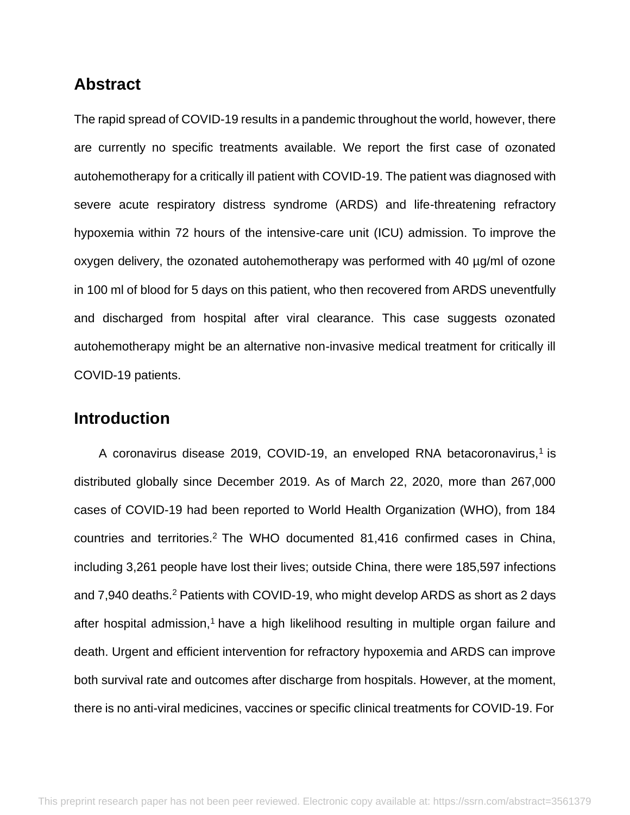# **Abstract**

The rapid spread of COVID-19 results in a pandemic throughout the world, however, there are currently no specific treatments available. We report the first case of ozonated autohemotherapy for a critically ill patient with COVID-19. The patient was diagnosed with severe acute respiratory distress syndrome (ARDS) and life-threatening refractory hypoxemia within 72 hours of the intensive-care unit (ICU) admission. To improve the oxygen delivery, the ozonated autohemotherapy was performed with 40 µg/ml of ozone in 100 ml of blood for 5 days on this patient, who then recovered from ARDS uneventfully and discharged from hospital after viral clearance. This case suggests ozonated autohemotherapy might be an alternative non-invasive medical treatment for critically ill COVID-19 patients.

# **Introduction**

A coronavirus disease 2019, COVID-19, an enveloped RNA betacoronavirus,<sup>1</sup> is distributed globally since December 2019. As of March 22, 2020, more than 267,000 cases of COVID-19 had been reported to World Health Organization (WHO), from 184 countries and territories.<sup>2</sup> The WHO documented 81,416 confirmed cases in China, including 3,261 people have lost their lives; outside China, there were 185,597 infections and 7,940 deaths.<sup>2</sup> Patients with COVID-19, who might develop ARDS as short as 2 days after hospital admission,<sup>1</sup> have a high likelihood resulting in multiple organ failure and death. Urgent and efficient intervention for refractory hypoxemia and ARDS can improve both survival rate and outcomes after discharge from hospitals. However, at the moment, there is no anti-viral medicines, vaccines or specific clinical treatments for COVID-19. For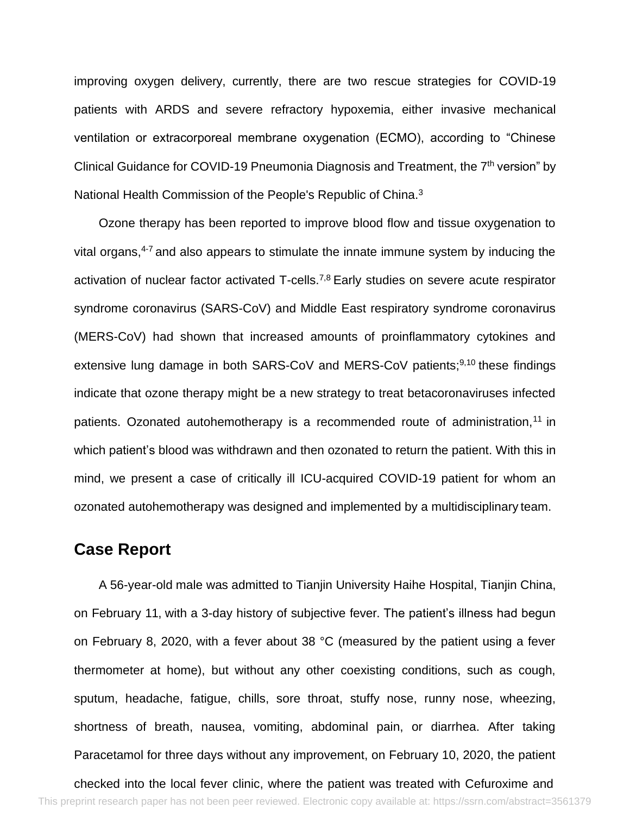improving oxygen delivery, currently, there are two rescue strategies for COVID-19 patients with ARDS and severe refractory hypoxemia, either invasive mechanical ventilation or extracorporeal membrane oxygenation (ECMO), according to "Chinese Clinical Guidance for COVID-19 Pneumonia Diagnosis and Treatment, the 7<sup>th</sup> version" by National Health Commission of the People's Republic of China.<sup>3</sup>

Ozone therapy has been reported to improve blood flow and tissue oxygenation to vital organs, $4-7$  and also appears to stimulate the innate immune system by inducing the activation of nuclear factor activated T-cells.7,8 Early studies on severe acute respirator syndrome coronavirus (SARS-CoV) and Middle East respiratory syndrome coronavirus (MERS-CoV) had shown that increased amounts of proinflammatory cytokines and extensive lung damage in both SARS-CoV and MERS-CoV patients;<sup>9,10</sup> these findings indicate that ozone therapy might be a new strategy to treat betacoronaviruses infected patients. Ozonated autohemotherapy is a recommended route of administration,  $11$  in which patient's blood was withdrawn and then ozonated to return the patient. With this in mind, we present a case of critically ill ICU-acquired COVID-19 patient for whom an ozonated autohemotherapy was designed and implemented by a multidisciplinary team.

### **Case Report**

A 56-year-old male was admitted to Tianjin University Haihe Hospital, Tianjin China, on February 11, with a 3-day history of subjective fever. The patient's illness had begun on February 8, 2020, with a fever about 38 °C (measured by the patient using a fever thermometer at home), but without any other coexisting conditions, such as cough, sputum, headache, fatigue, chills, sore throat, stuffy nose, runny nose, wheezing, shortness of breath, nausea, vomiting, abdominal pain, or diarrhea. After taking Paracetamol for three days without any improvement, on February 10, 2020, the patient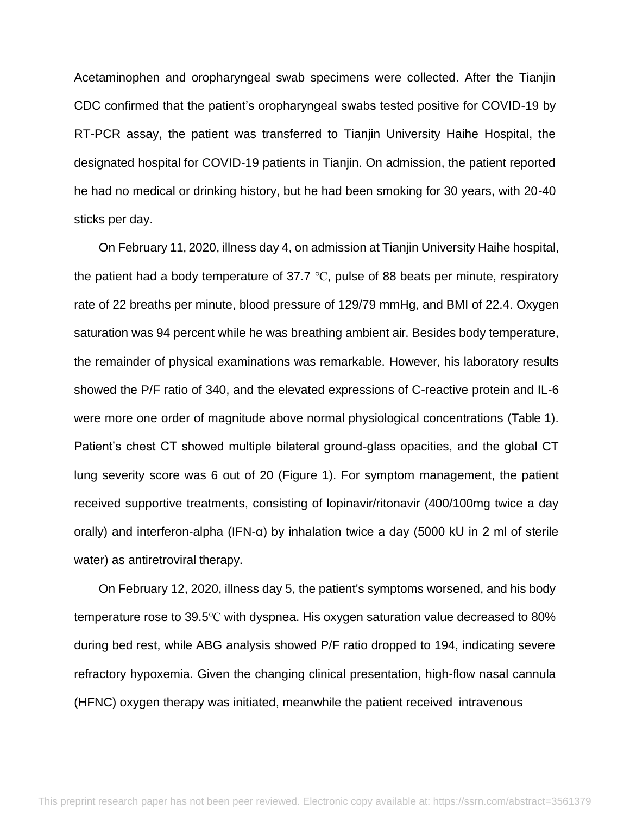Acetaminophen and oropharyngeal swab specimens were collected. After the Tianjin CDC confirmed that the patient's oropharyngeal swabs tested positive for COVID-19 by RT-PCR assay, the patient was transferred to Tianjin University Haihe Hospital, the designated hospital for COVID-19 patients in Tianjin. On admission, the patient reported he had no medical or drinking history, but he had been smoking for 30 years, with 20-40 sticks per day.

On February 11, 2020, illness day 4, on admission at Tianjin University Haihe hospital, the patient had a body temperature of 37.7 ℃, pulse of 88 beats per minute, respiratory rate of 22 breaths per minute, blood pressure of 129/79 mmHg, and BMI of 22.4. Oxygen saturation was 94 percent while he was breathing ambient air. Besides body temperature, the remainder of physical examinations was remarkable. However, his laboratory results showed the P/F ratio of 340, and the elevated expressions of C-reactive protein and IL-6 were more one order of magnitude above normal physiological concentrations (Table 1). Patient's chest CT showed multiple bilateral ground-glass opacities, and the global CT lung severity score was 6 out of 20 (Figure 1). For symptom management, the patient received supportive treatments, consisting of lopinavir/ritonavir (400/100mg twice a day orally) and interferon-alpha (IFN-α) by inhalation twice a day (5000 kU in 2 ml of sterile water) as antiretroviral therapy.

On February 12, 2020, illness day 5, the patient's symptoms worsened, and his body temperature rose to 39.5℃ with dyspnea. His oxygen saturation value decreased to 80% during bed rest, while ABG analysis showed P/F ratio dropped to 194, indicating severe refractory hypoxemia. Given the changing clinical presentation, high-flow nasal cannula (HFNC) oxygen therapy was initiated, meanwhile the patient received intravenous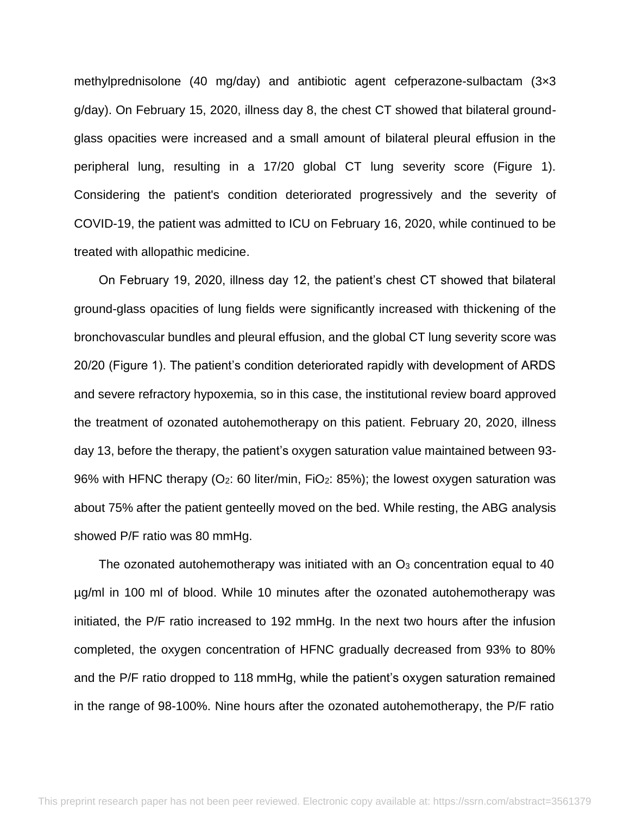methylprednisolone (40 mg/day) and antibiotic agent cefperazone-sulbactam (3×3 g/day). On February 15, 2020, illness day 8, the chest CT showed that bilateral groundglass opacities were increased and a small amount of bilateral pleural effusion in the peripheral lung, resulting in a 17/20 global CT lung severity score (Figure 1). Considering the patient's condition deteriorated progressively and the severity of COVID-19, the patient was admitted to ICU on February 16, 2020, while continued to be treated with allopathic medicine.

On February 19, 2020, illness day 12, the patient's chest CT showed that bilateral ground-glass opacities of lung fields were significantly increased with thickening of the bronchovascular bundles and pleural effusion, and the global CT lung severity score was 20/20 (Figure 1). The patient's condition deteriorated rapidly with development of ARDS and severe refractory hypoxemia, so in this case, the institutional review board approved the treatment of ozonated autohemotherapy on this patient. February 20, 2020, illness day 13, before the therapy, the patient's oxygen saturation value maintained between 93- 96% with HFNC therapy (O<sub>2</sub>: 60 liter/min, FiO<sub>2</sub>: 85%); the lowest oxygen saturation was about 75% after the patient genteelly moved on the bed. While resting, the ABG analysis showed P/F ratio was 80 mmHg.

The ozonated autohemotherapy was initiated with an  $O<sub>3</sub>$  concentration equal to 40 µg/ml in 100 ml of blood. While 10 minutes after the ozonated autohemotherapy was initiated, the P/F ratio increased to 192 mmHg. In the next two hours after the infusion completed, the oxygen concentration of HFNC gradually decreased from 93% to 80% and the P/F ratio dropped to 118 mmHg, while the patient's oxygen saturation remained in the range of 98-100%. Nine hours after the ozonated autohemotherapy, the P/F ratio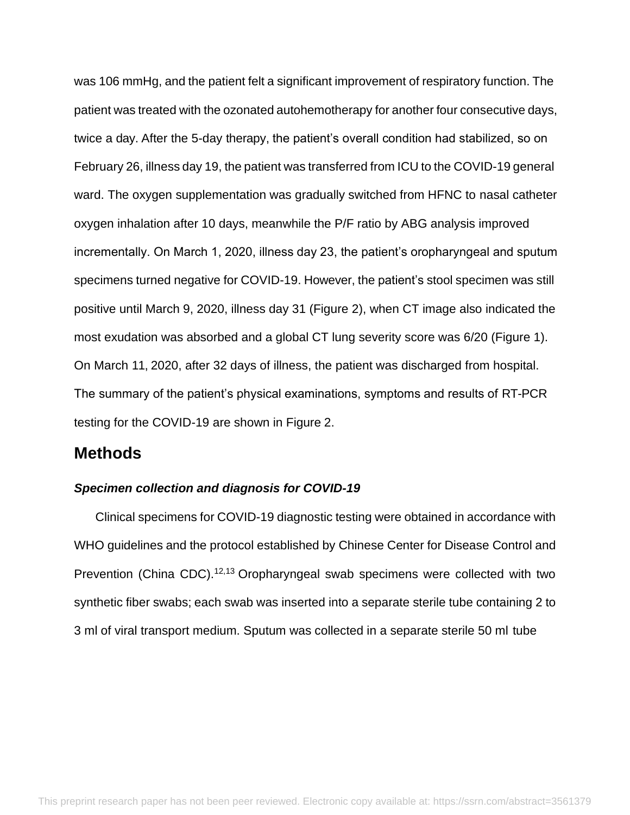was 106 mmHg, and the patient felt a significant improvement of respiratory function. The patient was treated with the ozonated autohemotherapy for another four consecutive days, twice a day. After the 5-day therapy, the patient's overall condition had stabilized, so on February 26, illness day 19, the patient was transferred from ICU to the COVID-19 general ward. The oxygen supplementation was gradually switched from HFNC to nasal catheter oxygen inhalation after 10 days, meanwhile the P/F ratio by ABG analysis improved incrementally. On March 1, 2020, illness day 23, the patient's oropharyngeal and sputum specimens turned negative for COVID-19. However, the patient's stool specimen was still positive until March 9, 2020, illness day 31 (Figure 2), when CT image also indicated the most exudation was absorbed and a global CT lung severity score was 6/20 (Figure 1). On March 11, 2020, after 32 days of illness, the patient was discharged from hospital. The summary of the patient's physical examinations, symptoms and results of RT-PCR testing for the COVID-19 are shown in Figure 2.

# **Methods**

#### *Specimen collection and diagnosis for COVID-19*

Clinical specimens for COVID-19 diagnostic testing were obtained in accordance with WHO guidelines and the protocol established by Chinese Center for Disease Control and Prevention (China CDC).<sup>12,13</sup> Oropharyngeal swab specimens were collected with two synthetic fiber swabs; each swab was inserted into a separate sterile tube containing 2 to 3 ml of viral transport medium. Sputum was collected in a separate sterile 50 ml tube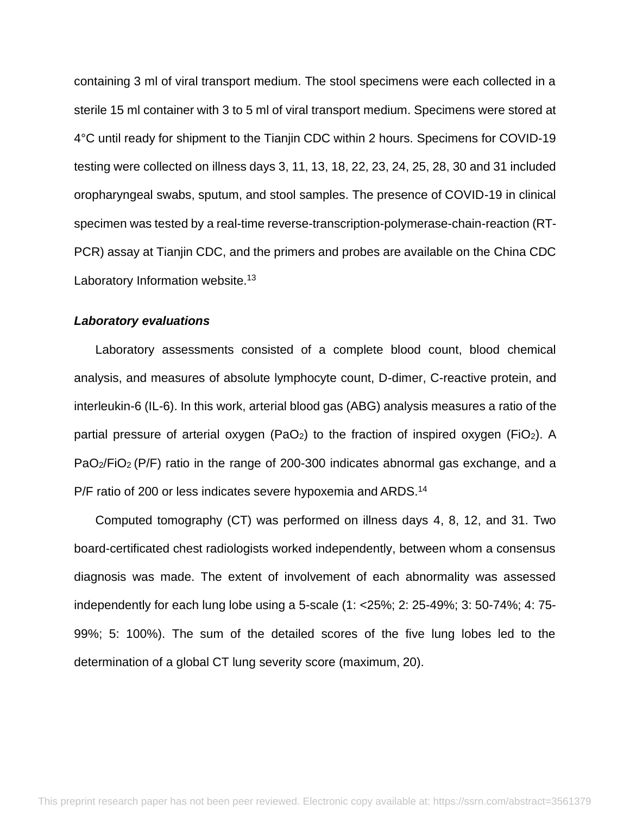containing 3 ml of viral transport medium. The stool specimens were each collected in a sterile 15 ml container with 3 to 5 ml of viral transport medium. Specimens were stored at 4°C until ready for shipment to the Tianjin CDC within 2 hours. Specimens for COVID-19 testing were collected on illness days 3, 11, 13, 18, 22, 23, 24, 25, 28, 30 and 31 included oropharyngeal swabs, sputum, and stool samples. The presence of COVID-19 in clinical specimen was tested by a real-time reverse-transcription-polymerase-chain-reaction (RT-PCR) assay at Tianjin CDC, and the primers and probes are available on the China CDC Laboratory Information website.<sup>13</sup>

#### *Laboratory evaluations*

Laboratory assessments consisted of a complete blood count, blood chemical analysis, and measures of absolute lymphocyte count, D-dimer, C-reactive protein, and interleukin-6 (IL-6). In this work, arterial blood gas (ABG) analysis measures a ratio of the partial pressure of arterial oxygen (PaO<sub>2</sub>) to the fraction of inspired oxygen (FiO<sub>2</sub>). A PaO<sub>2</sub>/FiO<sub>2</sub> (P/F) ratio in the range of 200-300 indicates abnormal gas exchange, and a P/F ratio of 200 or less indicates severe hypoxemia and ARDS.<sup>14</sup>

Computed tomography (CT) was performed on illness days 4, 8, 12, and 31. Two board-certificated chest radiologists worked independently, between whom a consensus diagnosis was made. The extent of involvement of each abnormality was assessed independently for each lung lobe using a 5-scale (1: <25%; 2: 25-49%; 3: 50-74%; 4: 75- 99%; 5: 100%). The sum of the detailed scores of the five lung lobes led to the determination of a global CT lung severity score (maximum, 20).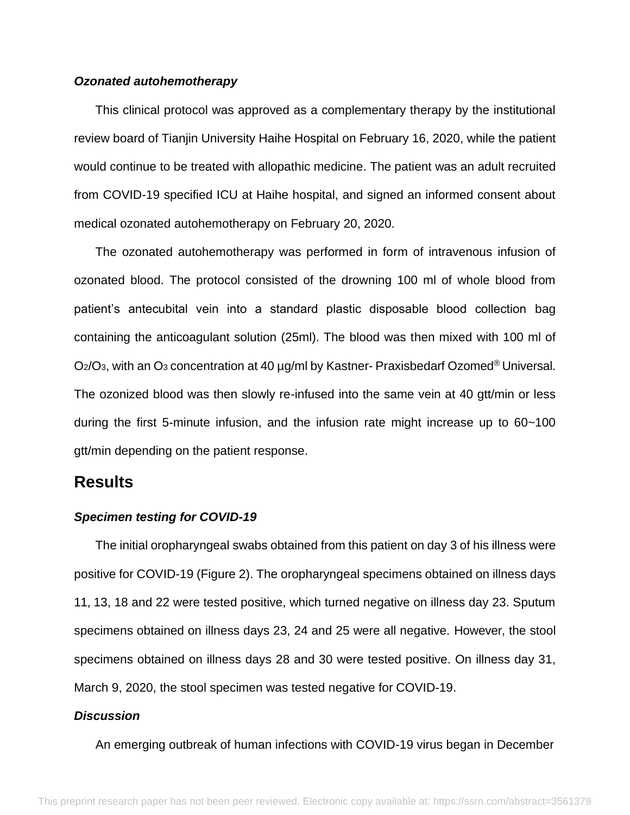#### *Ozonated autohemotherapy*

This clinical protocol was approved as a complementary therapy by the institutional review board of Tianjin University Haihe Hospital on February 16, 2020, while the patient would continue to be treated with allopathic medicine. The patient was an adult recruited from COVID-19 specified ICU at Haihe hospital, and signed an informed consent about medical ozonated autohemotherapy on February 20, 2020.

The ozonated autohemotherapy was performed in form of intravenous infusion of ozonated blood. The protocol consisted of the drowning 100 ml of whole blood from patient's antecubital vein into a standard plastic disposable blood collection bag containing the anticoagulant solution (25ml). The blood was then mixed with 100 ml of  $O<sub>2</sub>/O<sub>3</sub>$ , with an  $O<sub>3</sub>$  concentration at 40  $\mu$ g/ml by Kastner- Praxisbedarf Ozomed<sup>®</sup> Universal. The ozonized blood was then slowly re-infused into the same vein at 40 gtt/min or less during the first 5-minute infusion, and the infusion rate might increase up to 60~100 gtt/min depending on the patient response.

### **Results**

#### *Specimen testing for COVID-19*

The initial oropharyngeal swabs obtained from this patient on day 3 of his illness were positive for COVID-19 (Figure 2). The oropharyngeal specimens obtained on illness days 11, 13, 18 and 22 were tested positive, which turned negative on illness day 23. Sputum specimens obtained on illness days 23, 24 and 25 were all negative. However, the stool specimens obtained on illness days 28 and 30 were tested positive. On illness day 31, March 9, 2020, the stool specimen was tested negative for COVID-19.

#### *Discussion*

An emerging outbreak of human infections with COVID-19 virus began in December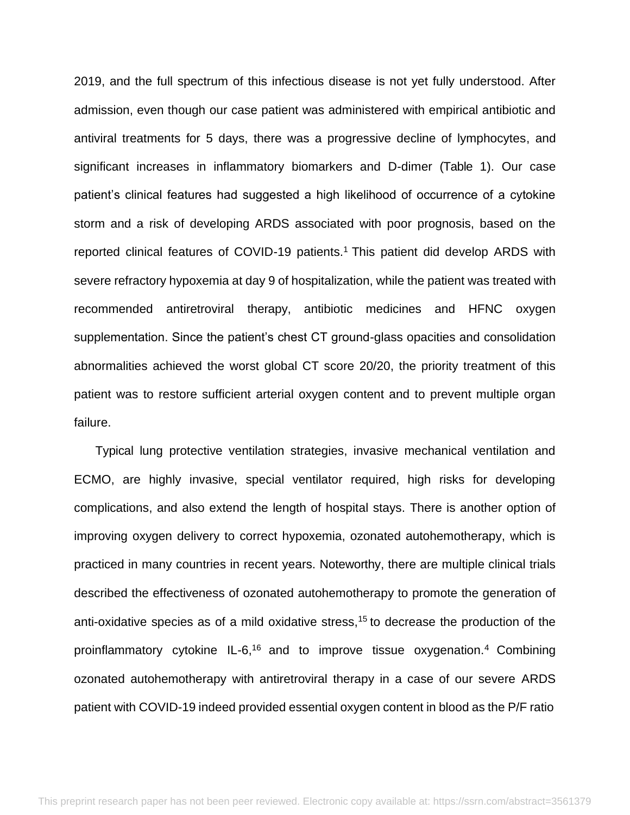2019, and the full spectrum of this infectious disease is not yet fully understood. After admission, even though our case patient was administered with empirical antibiotic and antiviral treatments for 5 days, there was a progressive decline of lymphocytes, and significant increases in inflammatory biomarkers and D-dimer (Table 1). Our case patient's clinical features had suggested a high likelihood of occurrence of a cytokine storm and a risk of developing ARDS associated with poor prognosis, based on the reported clinical features of COVID-19 patients.<sup>1</sup>This patient did develop ARDS with severe refractory hypoxemia at day 9 of hospitalization, while the patient was treated with recommended antiretroviral therapy, antibiotic medicines and HFNC oxygen supplementation. Since the patient's chest CT ground-glass opacities and consolidation abnormalities achieved the worst global CT score 20/20, the priority treatment of this patient was to restore sufficient arterial oxygen content and to prevent multiple organ failure.

Typical lung protective ventilation strategies, invasive mechanical ventilation and ECMO, are highly invasive, special ventilator required, high risks for developing complications, and also extend the length of hospital stays. There is another option of improving oxygen delivery to correct hypoxemia, ozonated autohemotherapy, which is practiced in many countries in recent years. Noteworthy, there are multiple clinical trials described the effectiveness of ozonated autohemotherapy to promote the generation of anti-oxidative species as of a mild oxidative stress,<sup>15</sup> to decrease the production of the proinflammatory cytokine IL-6,<sup>16</sup> and to improve tissue oxygenation.<sup>4</sup> Combining ozonated autohemotherapy with antiretroviral therapy in a case of our severe ARDS patient with COVID-19 indeed provided essential oxygen content in blood as the P/F ratio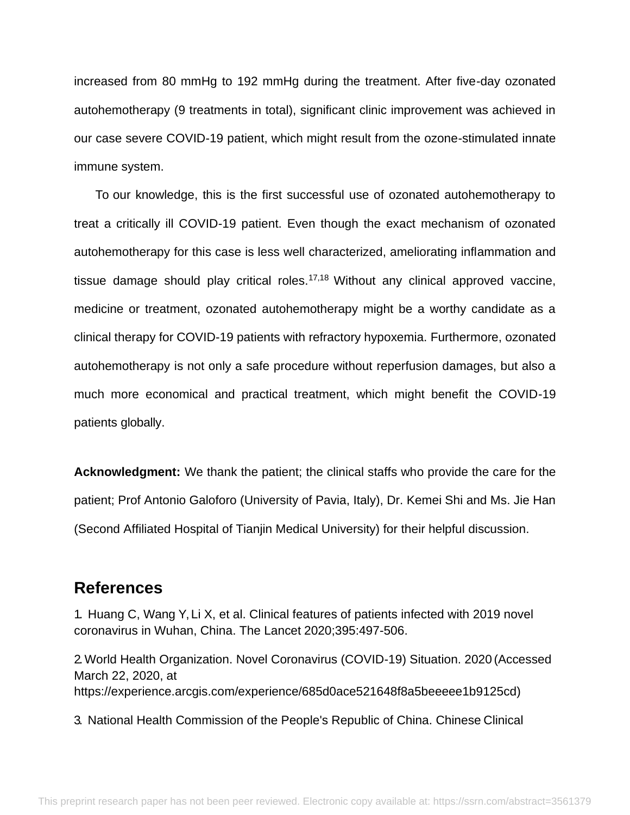increased from 80 mmHg to 192 mmHg during the treatment. After five-day ozonated autohemotherapy (9 treatments in total), significant clinic improvement was achieved in our case severe COVID-19 patient, which might result from the ozone-stimulated innate immune system.

To our knowledge, this is the first successful use of ozonated autohemotherapy to treat a critically ill COVID-19 patient. Even though the exact mechanism of ozonated autohemotherapy for this case is less well characterized, ameliorating inflammation and tissue damage should play critical roles.<sup>17,18</sup> Without any clinical approved vaccine, medicine or treatment, ozonated autohemotherapy might be a worthy candidate as a clinical therapy for COVID-19 patients with refractory hypoxemia. Furthermore, ozonated autohemotherapy is not only a safe procedure without reperfusion damages, but also a much more economical and practical treatment, which might benefit the COVID-19 patients globally.

**Acknowledgment:** We thank the patient; the clinical staffs who provide the care for the patient; Prof Antonio Galoforo (University of Pavia, Italy), Dr. Kemei Shi and Ms. Jie Han (Second Affiliated Hospital of Tianjin Medical University) for their helpful discussion.

### **References**

1. Huang C, Wang Y, Li X, et al. Clinical features of patients infected with 2019 novel coronavirus in Wuhan, China. The Lancet 2020;395:497-506.

2.World Health Organization. Novel Coronavirus (COVID-19) Situation. 2020 (Accessed March 22, 2020, at https://experience.arcgis.com/experience/685d0ace521648f8a5beeeee1b9125cd)

3. National Health Commission of the People's Republic of China. Chinese Clinical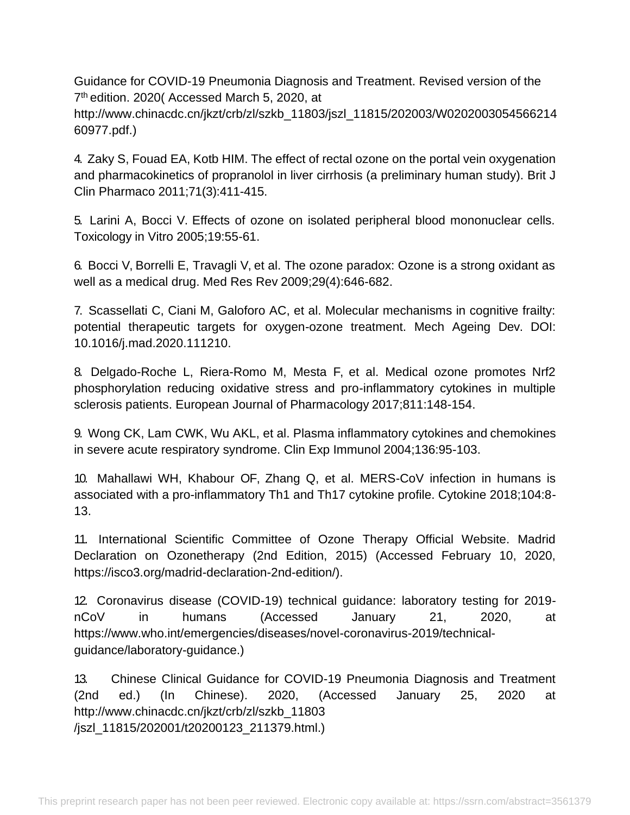Guidance for COVID-19 Pneumonia Diagnosis and Treatment. Revised version of the 7 th edition. 2020( Accessed March 5, 2020, at [http://www.chinacdc.cn/jkzt/crb/zl/szkb\\_11803/jszl\\_11815/202003/W0202003054566214](http://www.chinacdc.cn/jkzt/crb/zl/szkb_11803/jszl_11815/202003/W0202003054566214) 60977.pdf.)

4. Zaky S, Fouad EA, Kotb HIM. The effect of rectal ozone on the portal vein oxygenation and pharmacokinetics of propranolol in liver cirrhosis (a preliminary human study). Brit J Clin Pharmaco 2011;71(3):411-415.

5. Larini A, Bocci V. Effects of ozone on isolated peripheral blood mononuclear cells. Toxicology in Vitro 2005;19:55-61.

6. Bocci V, Borrelli E, Travagli V, et al. The ozone paradox: Ozone is a strong oxidant as well as a medical drug. Med Res Rev 2009;29(4):646-682.

7. Scassellati C, Ciani M, Galoforo AC, et al. Molecular mechanisms in cognitive frailty: potential therapeutic targets for oxygen-ozone treatment. Mech Ageing Dev. DOI: 10.1016/j.mad.2020.111210.

8. Delgado-Roche L, Riera-Romo M, Mesta F, et al. Medical ozone promotes Nrf2 phosphorylation reducing oxidative stress and pro-inflammatory cytokines in multiple sclerosis patients. European Journal of Pharmacology 2017;811:148-154.

9. Wong CK, Lam CWK, Wu AKL, et al. Plasma inflammatory cytokines and chemokines in severe acute respiratory syndrome. Clin Exp Immunol 2004;136:95-103.

10. Mahallawi WH, Khabour OF, Zhang Q, et al. MERS-CoV infection in humans is associated with a pro-inflammatory Th1 and Th17 cytokine profile. Cytokine 2018;104:8- 13.

11. International Scientific Committee of Ozone Therapy Official Website. Madrid Declaration on Ozonetherapy (2nd Edition, 2015) (Accessed February 10, 2020, https://isco3.org/madrid-declaration-2nd-edition/).

12. Coronavirus disease (COVID-19) technical guidance: laboratory testing for 2019 nCoV in humans (Accessed January 21, 2020, at https:/[/www.who.int/emergencies/diseases/novel-coronavirus-2019/technical](http://www.who.int/emergencies/diseases/novel-coronavirus-2019/technical-)guidance/laboratory-guidance.)

13. Chinese Clinical Guidance for COVID-19 Pneumonia Diagnosis and Treatment (2nd ed.) (In Chinese). 2020, (Accessed January 25, 2020 a[t](http://www.chinacdc.cn/jkzt/crb/zl/szkb_11803) [http://www.chinacdc.cn/jkzt/crb/zl/szkb\\_11803](http://www.chinacdc.cn/jkzt/crb/zl/szkb_11803) /jszl\_11815/202001/t20200123\_211379.html.)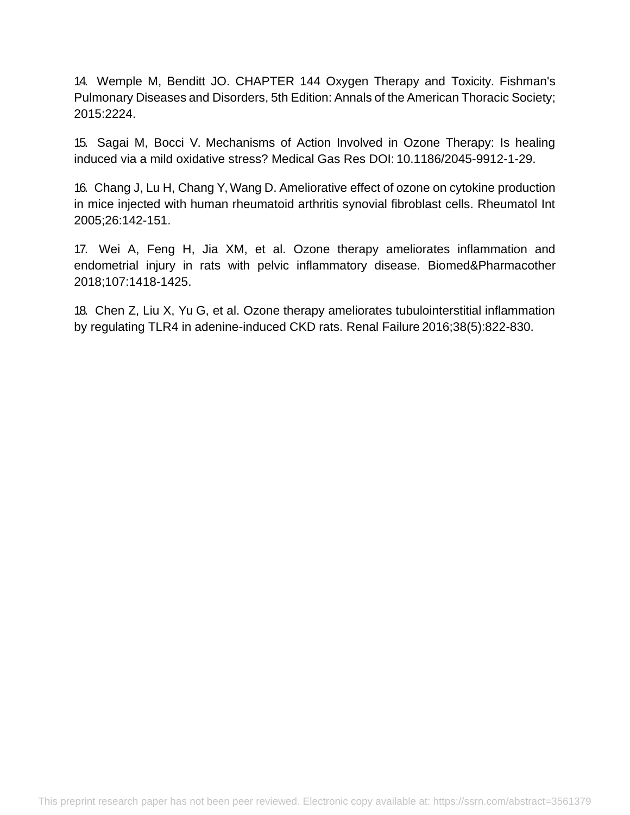14. Wemple M, Benditt JO. CHAPTER 144 Oxygen Therapy and Toxicity. Fishman's Pulmonary Diseases and Disorders, 5th Edition: Annals of the American Thoracic Society; 2015:2224.

15. Sagai M, Bocci V. Mechanisms of Action Involved in Ozone Therapy: Is healing induced via a mild oxidative stress? Medical Gas Res DOI: 10.1186/2045-9912-1-29.

16. Chang J, Lu H, Chang Y, Wang D. Ameliorative effect of ozone on cytokine production in mice injected with human rheumatoid arthritis synovial fibroblast cells. Rheumatol Int 2005;26:142-151.

17. Wei A, Feng H, Jia XM, et al. Ozone therapy ameliorates inflammation and endometrial injury in rats with pelvic inflammatory disease. Biomed&Pharmacother 2018;107:1418-1425.

18. Chen Z, Liu X, Yu G, et al. Ozone therapy ameliorates tubulointerstitial inflammation by regulating TLR4 in adenine-induced CKD rats. Renal Failure 2016;38(5):822-830.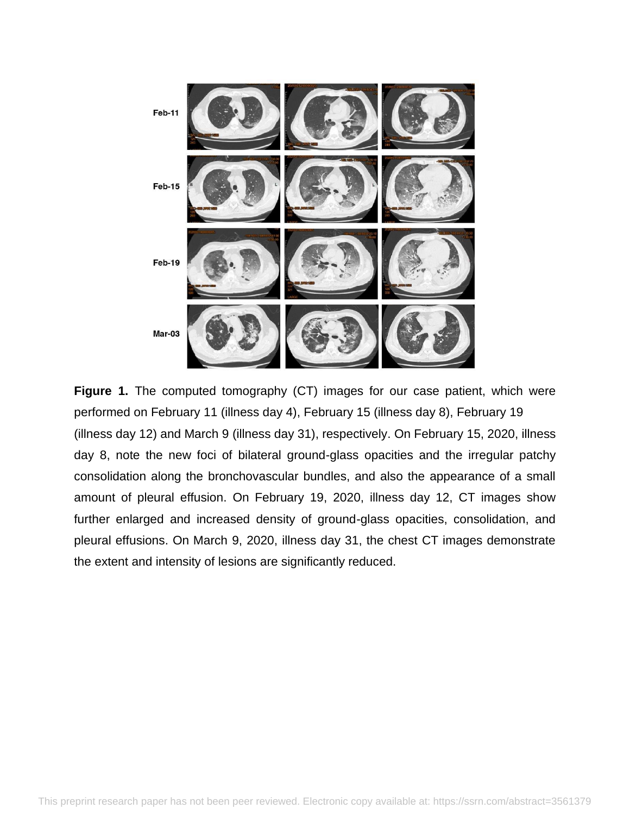

Figure 1. The computed tomography (CT) images for our case patient, which were performed on February 11 (illness day 4), February 15 (illness day 8), February 19 (illness day 12) and March 9 (illness day 31), respectively. On February 15, 2020, illness day 8, note the new foci of bilateral ground-glass opacities and the irregular patchy consolidation along the bronchovascular bundles, and also the appearance of a small amount of pleural effusion. On February 19, 2020, illness day 12, CT images show further enlarged and increased density of ground-glass opacities, consolidation, and pleural effusions. On March 9, 2020, illness day 31, the chest CT images demonstrate the extent and intensity of lesions are significantly reduced.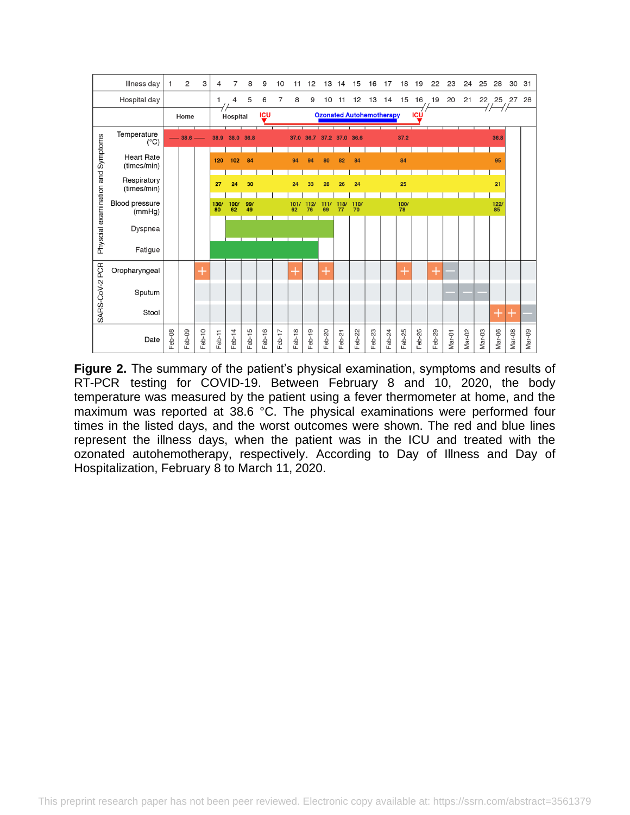

**Figure 2.** The summary of the patient's physical examination, symptoms and results of RT-PCR testing for COVID-19. Between February 8 and 10, 2020, the body temperature was measured by the patient using a fever thermometer at home, and the maximum was reported at 38.6 °C. The physical examinations were performed four times in the listed days, and the worst outcomes were shown. The red and blue lines represent the illness days, when the patient was in the ICU and treated with the ozonated autohemotherapy, respectively. According to Day of Illness and Day of Hospitalization, February 8 to March 11, 2020.